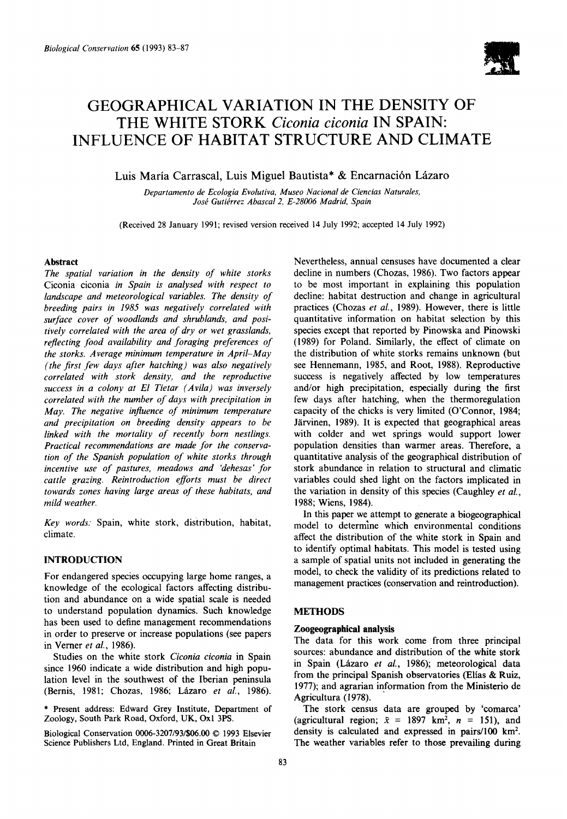

# **GEOGRAPHICAL VARIATION IN THE DENSITY OF THE WHITE STORK** *Ciconia ciconia* **IN SPAIN: INFLUENCE OF HABITAT STRUCTURE AND CLIMATE**

## Luis María Carrascal, Luis Miguel Bautista\* & Encarnación Lázaro

*Departamento de Ecologia Evolutiva, Museo Nacional de Ciencias Naturales,*  José Gutiérrez Abascal 2, E-28006 Madrid, Spain

(Received 28 January 1991; revised version received 14 July 1992; accepted 14 July 1992)

#### **Abstract**

*The spatial variation in the density of white storks*  Ciconia ciconia *in Spain is analysed with respect to landscape and meteorological variables. The density of breeding pairs in 1985 was negatively correlated with surface cover of woodlands and shrublands, and positively correlated with the area of dry or wet grasslands, reflecting .food availability and foraging preferences of the storks. Average minimum temperature in April-May (the first few days after hatching) was also negatively correlated with stork density, and the reproductive success in a colony at El Tietar (Avila) was inversely correlated with the number of days with precipitation in May. The negative influence of minimum temperature and precipitation on breeding density appears to be linked with the mortality of recently born nestlings. Practical recommendations are made for the conservation of the Spanish population of white storks through incentive use of pastures, meadows and 'dehesas' for cattle grazing. Reintroduction efforts must be direct towards zones having large areas of these habitats, and mild weather.* 

*Key words:* Spain, white stork, distribution, habitat, climate.

## INTRODUCTION

For endangered species occupying large home ranges, a knowledge of the ecological factors affecting distribution and abundance on a wide spatial scale is needed to understand population dynamics. Such knowledge has been used to define management recommendations in order to preserve or increase populations (see papers in Verner *et al.,* 1986).

Studies on the white stork *Ciconia ciconia* in Spain since 1960 indicate a wide distribution and high population level in the southwest of the Iberian peninsula (Bernis, 1981; Chozas, 1986; Lázaro et al., 1986).

\* Present address: Edward Grey Institute, Department of Zoology, South Park Road, Oxford, UK, Oxl 3PS.

Biological Conservation 0006-3207/93/\$06.00 © 1993 Elsevier Science Publishers Ltd, England. Printed in Great Britain

Nevertheless, annual censuses have documented a clear decline in numbers (Chozas, 1986). Two factors appear to be most important in explaining this population decline: habitat destruction and change in agricultural practices (Chozas *et aL,* 1989). However, there is little quantitative information on habitat selection by this species except that reported by Pinowska and Pinowski (1989) for Poland. Similarly, the effect of climate on the distribution of white storks remains unknown (but see Hennemann, 1985, and Root, 1988). Reproductive success is negatively affected by low temperatures and/or high precipitation, especially during the first few days after hatching, when the thermoregulation capacity of the chicks is very limited (O'Connor, 1984; Järvinen, 1989). It is expected that geographical areas with colder and wet springs would support lower population densities than warmer areas. Therefore, a quantitative analysis of the geographical distribution of stork abundance in relation to structural and climatic variables could shed light on the factors implicated in the variation in density of this species (Caughley *et al.,*  1988; Wiens, 1984).

In this paper we attempt to generate a biogeographical model to determine which environmental conditions affect the distribution of the white stork in Spain and to identify optimal habitats. This model is tested using a sample of spatial units not included in generating **the**  model, to check the validity of its predictions related to management practices (conservation and reintroduction).

#### **METHODS**

#### **Zoogeographical analysis**

The data for this work come from three principal sources: abundance and distribution of the white stork in Spain (Lázaro *et al.*, 1986); meteorological data from the principal Spanish observatories (Elias & Ruiz, 1977); and agrarian information from the Ministerio de Agricultura (1978).

The stork census data are grouped by 'comarca' (agricultural region;  $\bar{x} = 1897$  km<sup>2</sup>,  $n = 151$ ), and density is calculated and expressed in pairs/100  $\text{km}^2$ . The weather variables refer **to those** prevailing during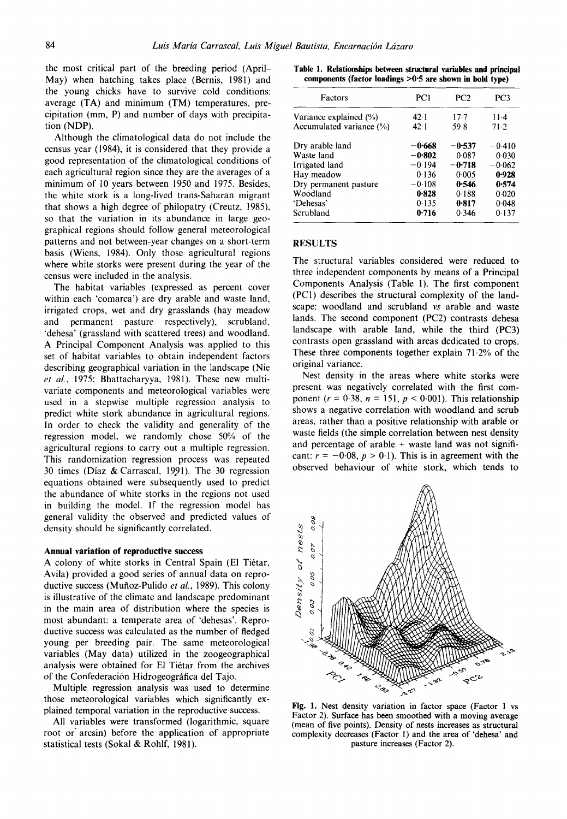the most critical part of the breeding period (April-May) when hatching takes place (Bernis, 1981) and the young chicks have to survive cold conditions: average (TA) and minimum (TM) temperatures, precipitation (mm, P) and number of days with precipitation (NDP).

Although the climatological data do not include the census year (1984), it is considered that they provide a good representation of the climatological conditions of each agricultural region since they are the averages of a minimum of 10 years between 1950 and 1975. Besides, the white stork is a long-lived trans-Saharan migrant that shows a high degree of philopatry (Creutz, 1985), so that the variation in its abundance in large geographical regions should follow general meteorological patterns and not between-year changes on a short-term basis (Wiens, 1984). Only those agricultural regions where white storks were present during the year of the census were included in the analysis.

The habitat variables (expressed as percent cover within each 'comarca') are dry arable and waste land, irrigated crops, wet and dry grasslands (hay meadow and permanent pasture respectively), scrubland, 'dehesa' (grassland with scattered trees) and woodland. A Principal Component Analysis was applied to this set of habitat variables to obtain independent factors describing geographical variation in the landscape (Nie *et al.,* 1975; Bhattacharyya, 1981). These new multivariate components and meteorological variables were used in a stepwise multiple regression analysis to predict white stork abundance in agricultural regions. In order to check the validity and generality of the regression model, we randomly chose 50% of the agricultural regions to carry out a multiple regression. This randomization-regression process was repeated 30 times (Díaz & Carrascal, 1991). The 30 regression equations obtained were subsequently used to predict the abundance of white storks in the regions not used in building the model. If the regression model has general validity the observed and predicted values of density should be significantly correlated.

#### **Annual variation of reproductive success**

A colony of white storks in Central Spain (El Tiétar, Avila) provided a good series of annual data on reproductive success (Mufioz-Pulido *et al.,* 1989). This colony is illustrative of the climate and landscape predominant in the main area of distribution where the species is most abundant: a temperate area of 'dehesas'. Reproductive success was calculated as the number of fledged young per breeding pair, The same meteorological variables (May data) utilized in the zoogeographical analysis were obtained for El Tiétar from the archives of the Confederación Hidrogeográfica del Tajo.

Multiple regression analysis was used to determine those meteorological variables which significantly explained temporal variation in the reproductive success.

All variables were transformed (logarithmic, square root or' arcsin) before the application of appropriate statistical tests (Sokal & Rohlf, 1981).

**Table 1. Relationships between structural variables and principal components (factor Ioadings >0"5 are shown in bold type)** 

| Factors                  | PC1      | PC2      | PC3      |
|--------------------------|----------|----------|----------|
| Variance explained (%)   | 42.1     | 17.7     | $11-4$   |
| Accumulated variance (%) | 42.1     | 59.8     | 71.2     |
| Dry arable land          | -0.668   | $-0.537$ | $-0.410$ |
| Waste land               | -0.802   | 0.087    | 0.030    |
| Irrigated land           | $-0.194$ | $-0.718$ | $-0.062$ |
| Hay meadow               | 0.136    | 0.005    | 0.928    |
| Dry permanent pasture    | $-0.108$ | 0.546    | 0.574    |
| Woodland                 | 0.828    | 0.188    | 0.020    |
| 'Dehesas'                | 0.135    | 0.817    | 0.048    |
| Scrubland                | 0.716    | 0.346    | 0.137    |
|                          |          |          |          |

#### RESULTS

The structural variables considered were reduced to three independent components by means of a Principal Components Analysis (Table 1). The first component (PCI) describes the structural complexity of the landscape: woodland and scrubland *vs* arable and waste lands. The second component (PC2) contrasts **dehesa**  landscape with arable land, while the third (PC3) contrasts open grassland with areas dedicated to crops. These three components together explain  $71.2%$  of the original variance.

Nest density in the areas where white storks were present was negatively correlated with the first component ( $r = 0.38$ ,  $n = 151$ ,  $p < 0.001$ ). This relationship shows a negative correlation with woodland and scrub areas, rather than a positive relationship with arable or waste fields (the simple correlation between nest density and percentage of arable  $+$  waste land was not significant:  $r = -0.08$ ,  $p > 0.1$ ). This is in agreement with the observed behaviour of white stork, which tends to



**Fig.** 1. Nest density variation in factor space (Factor 1 vs Factor 2). Surface has been smoothed with a moving **average**  (mean of five points). Density of **nests increases as** structural complexity decreases (Factor 1) and **the area of 'dehesa'** and pasture increases (Factor 2).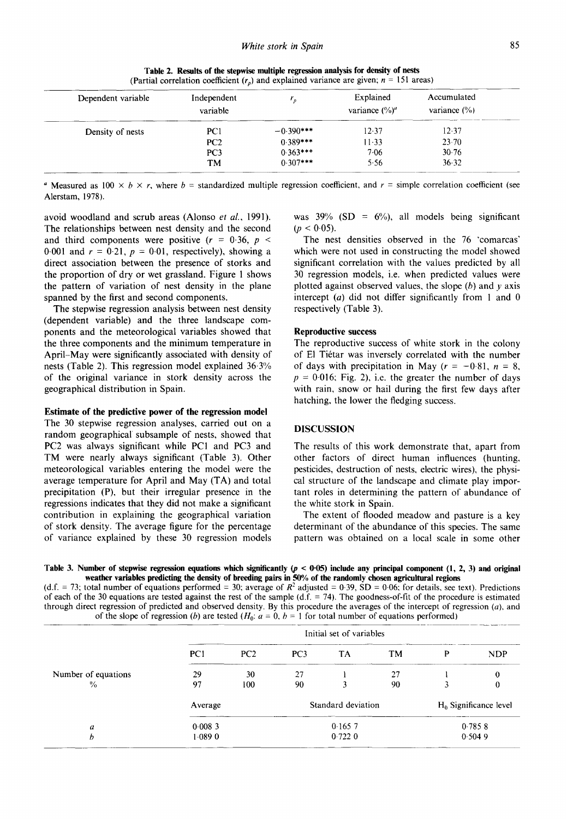| Dependent variable | Independent<br>variable | ,           | Explained<br>variance $(\%)^a$ | Accumulated<br>variance $(\% )$ |
|--------------------|-------------------------|-------------|--------------------------------|---------------------------------|
| Density of nests   | PC <sub>1</sub>         | $-0.390***$ | 12.37                          | 12.37                           |
|                    | PC2                     | $0.389***$  | $11-33$                        | 23.70                           |
|                    | PC <sub>3</sub>         | $0.363***$  | 7.06                           | 30.76                           |
|                    | <b>TM</b>               | $0.307***$  | 5.56                           | 36.32                           |

**Table 2. Results of the stepwise multiple regression analysis for density of nests**  (Partial correlation coefficient  $(r_p)$  and explained variance are given;  $n = 151$  areas)

<sup>a</sup> Measured as 100  $\times$  b  $\times$  r, where b = standardized multiple regression coefficient, and r = simple correlation coefficient (see Alerstam, 1978).

avoid woodland and scrub areas (Alonso *et al.,* 1991). The relationships between nest density and the second and third components were positive  $(r = 0.36, p <$ 0.001 and  $r = 0.21$ ,  $p = 0.01$ , respectively), showing a direct association between the presence of storks and the proportion of dry or wet grassland. Figure 1 shows the pattern of variation of nest density in the plane spanned by the first and second components.

The stepwise regression analysis between nest density (dependent variable) and the three landscape components and the meteorological variables showed that the three components and the minimum temperature in April-May were significantly associated with density of nests (Table 2). This regression model explained 36.3% of the original variance in stork density across the geographical distribution in Spain.

#### **Estimate of the predictive power of the regression model**

The 30 stepwise regression analyses, carried out on a random geographical subsample of nests, showed that PC2 was always significant while PC1 and PC3 and TM were nearly always significant (Table 3). Other meteorological variables entering the model were the average temperature for April and May (TA) and total precipitation (P), but their irregular presence in the regressions indicates that they did not make a significant contribution in explaining the geographical variation of stork density. The average figure for the percentage of variance explained by these 30 regression models was  $39\%$  (SD =  $6\%$ ), all models being significant  $(p < 0.05)$ .

The nest densities observed in the 76 'comarcas' which were not used in constructing the model showed significant correlation with the values predicted by all 30 regression models, i.e. when predicted values were plotted against observed values, the slope  $(b)$  and  $y$  axis intercept  $(a)$  did not differ significantly from 1 and 0 respectively (Table 3).

#### **Reproductive success**

The reproductive success of white stork in the colony of El Ti6tar was inversely correlated with the number of days with precipitation in May  $(r = -0.81, n = 8,$  $p = 0.016$ ; Fig. 2), i.e. the greater the number of days with rain, snow or hail during the first few days after hatching, the lower the fledging success.

## DISCUSSION

The results of this work demonstrate that, apart from other factors of direct human influences (hunting, pesticides, destruction of nests, electric wires), the physical structure of the landscape and climate play important roles in determining the pattern of abundance of the white stork in Spain.

The extent of flooded meadow and pasture is a key determinant of the abundance of this species. The same pattern was obtained on a local scale in some other

Table 3. Number of stepwise regression equations which significantly  $(p < 0.05)$  include any principal component  $(1, 2, 3)$  and original **weather variables predicting the density of breeding pairs in 50% of the randomly chosen agricultural regions** 

(d.f. = 73; total number of equations performed = 30; average of  $R<sup>2</sup>$  adjusted = 0.39, SD = 0.06; for details, see text). Predictions of each of the 30 equations are tested against the rest of the sample (d.f.  $=$  74). The goodness-of-fit of the procedure is estimated through direct regression of predicted and observed density. By this procedure the averages of the intercept of regression *(a),* and of the slope of regression (b) are tested ( $H_0$ :  $a = 0$ ,  $b = 1$  for total number of equations performed)

|                     | Initial set of variables |     |                    |           |           |                          |     |
|---------------------|--------------------------|-----|--------------------|-----------|-----------|--------------------------|-----|
|                     | PC1                      | PC2 | PC3                | <b>TA</b> | <b>TM</b> | P                        | NDP |
| Number of equations | 29                       | 30  | 27                 |           | 27        |                          | 0   |
| $\frac{0}{0}$       | 97                       | 100 | 90                 |           | 90        |                          | 0   |
|                     | Average                  |     | Standard deviation |           |           | $H_0$ Significance level |     |
| a                   | 0.0083                   |     | 0.1657             |           |           | 0.7858                   |     |
| b                   | 1.0890                   |     | 0.7220             |           |           | 0.5049                   |     |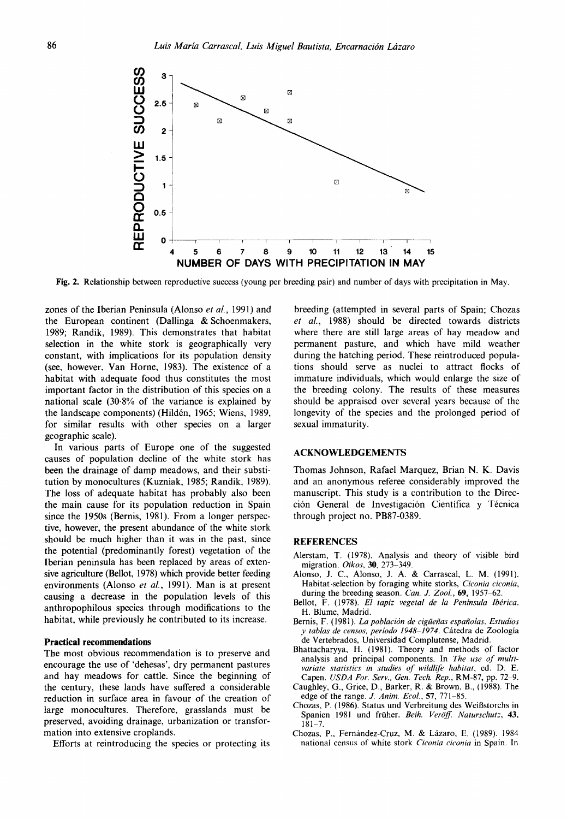

Fig. 2. Relationship between reproductive success (young per breeding pair) and number of days with precipitation in May.

zones of the Iberian Peninsula (Alonso *et al.,* 1991) and the European continent (Dallinga & Schoenmakers, 1989; Randik, 1989). This demonstrates that habitat selection in the white stork is geographically very constant, with implications for its population density (see, however, Van Horne, 1983). The existence of a habitat with adequate food thus constitutes the most important factor in the distribution of this species on a national scale (30.8% of the variance is explained by the landscape components) (Hildén, 1965; Wiens, 1989, for similar results with other species on a larger geographic scale).

In various parts of Europe one of the suggested causes of population decline of the white stork has been the drainage of damp meadows, and their substitution by monocultures (Kuzniak, 1985; Randik, 1989). The loss of adequate habitat has probably also been the main cause for its population reduction in Spain since the 1950s (Bernis, 1981). From a longer perspective, however, the present abundance of the white stork should be much higher than it was in the past, since the potential (predominantly forest) vegetation of the Iberian peninsula has been replaced by areas of extensive agriculture (Bellot, 1978) which provide better feeding environments (Alonso *et al.,* 1991). Man is at present causing a decrease in the population levels of this anthropophilous species through modifications to the habitat, while previously he contributed to its increase.

### **Practical recommendations**

The most obvious recommendation is to preserve and encourage the use of 'dehesas', dry permanent pastures and hay meadows for cattle. Since the beginning of the century, these lands have suffered a considerable reduction in surface area in favour of the creation of large monocultures. Therefore, grasslands must be preserved, avoiding drainage, urbanization or transformation into extensive croplands.

Efforts at reintroducing the species or protecting its

breeding (attempted in several parts of Spain; Chozas *et al.,* 1988) should be directed towards districts where there are still large areas of hay meadow and permanent pasture, and which have mild weather during the hatching period. These reintroduced populations should serve as nuclei to attract flocks of immature individuals, which would enlarge the size of the breeding colony. The results of these measures should be appraised over several years because of the longevity of the species and the prolonged period of sexual immaturity.

#### ACKNOWLEDGEMENTS

Thomas Johnson, Rafael Marquez, Brian N. K. Davis and an anonymous referee considerably improved the manuscript. This study is a contribution to the Dirección General de Investigación Científica y Técnica through project no. PB87-0389.

#### **REFERENCES**

- Alerstam, T. (1978). Analysis and theory of visible bird migration. *Oikos,* 30, 273-349.
- Alonso, J. C., Alonso, J. A. & Carrascal, L. M. (1991). Habitat.selection by foraging white storks, *Ciconia ciconia,*  during the breeding season. *Can. J. Zool.*, **69**, 1957–62.
- Bellot, F. (1978). *El tapiz vegetal de la Península Ibérica*. H. Blume, Madrid.
- Bernis, F. (1981). *La población de cigüeñas españolas. Estudios y tablas de censos, período 1948-1974.* Cátedra de Zoología de Vertebrados, Universidad Complutense, Madrid.
- Bhattacharyya, H. (1981), Theory and methods of factor analysis and principal components. In *The use of multivariate statistics in studies of wildlife habitat,* ed. D. E. Capen. *USDA For. Serv., Gen. Tech. Rep.,* RM-87, pp. 72-9.
- Caughley, G., Grice, D., Barker, R. & Brown, B., (1988). The edge of the range. *J. Anim. Ecol.*, **57**, 771-85.
- Chozas, P. (1986). Status und Verbreitung des Weißstorchs in Spanien 1981 und früher. *Beih. Veröff. Naturschutz*, 43,  $181 - 7$ .
- Chozas, P., Fernández-Cruz, M. & Lázaro, E. (1989). 1984 national census of white stork *Ciconia ciconia* in Spain. In